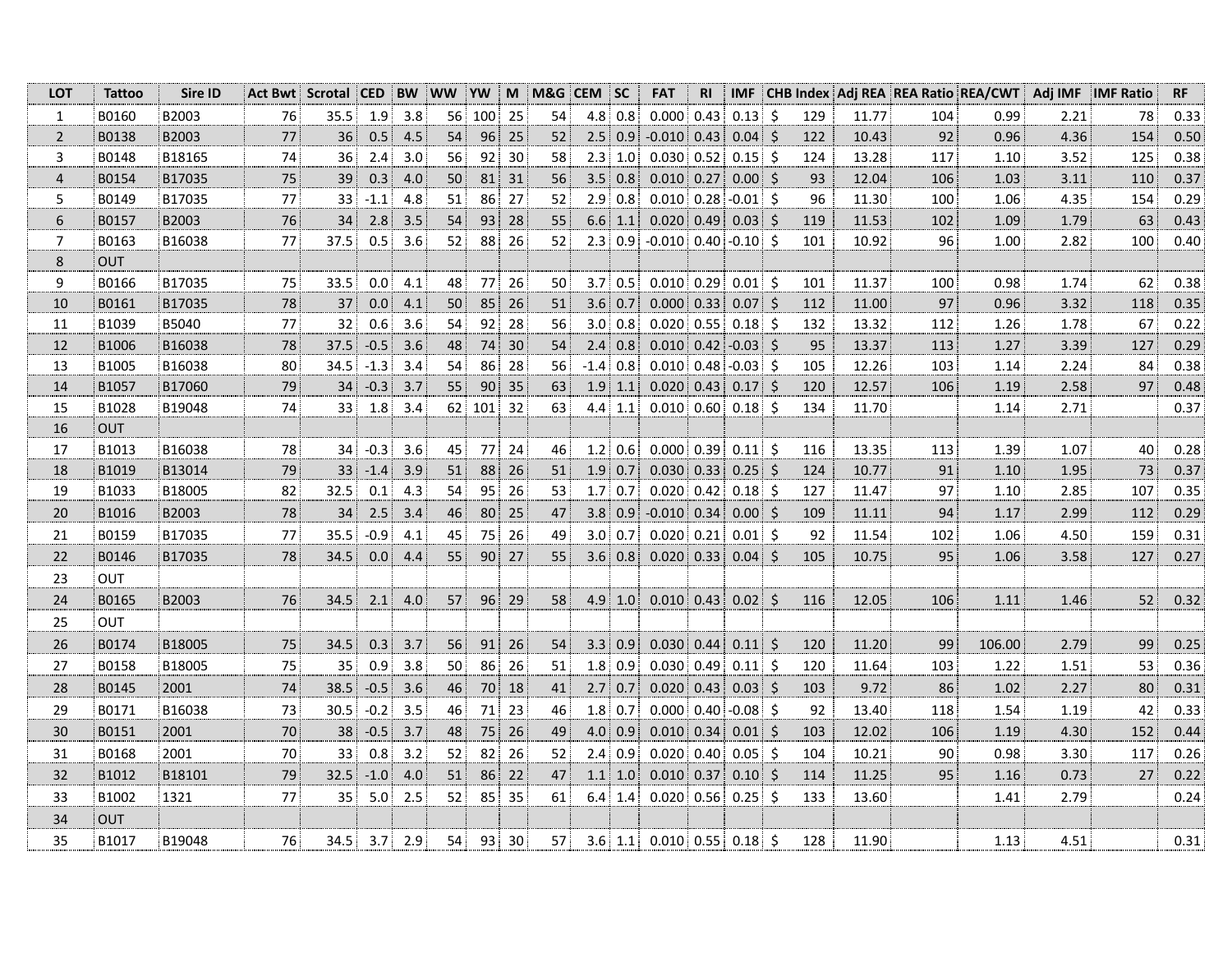| <b>LOT</b>       | <b>Tattoo</b> | Sire ID |        | Act Bwt Scrotal CED |                  | <b>BW</b> | <b>WW</b>       | <b>YW</b> | M  | M&G CEM SC |        |                   | <b>FAT</b>                   | <b>RI</b> | <b>IMF</b> |         |     |       |     | CHB Index Adj REA REA Ratio REA/CWT | Adj IMF | <b>IMF Ratio</b> | RF   |
|------------------|---------------|---------|--------|---------------------|------------------|-----------|-----------------|-----------|----|------------|--------|-------------------|------------------------------|-----------|------------|---------|-----|-------|-----|-------------------------------------|---------|------------------|------|
| $\mathbf{1}$     | B0160         | B2003   | 76     | 35.5                | 1.9              | 3.8       | 56 <sup>1</sup> | 100       | 25 | 54         |        | $4.8 \,   \, 0.8$ | $0.000 \mid 0.43$            |           | $0.13$ \$  |         | 129 | 11.77 | 104 | 0.99                                | 2.21    | 78               | 0.33 |
| $\overline{2}$   | B0138         | B2003   | 77     | 36                  | 0.5              | 4.5       | 54              | 96        | 25 | 52         |        | 2.5 0.9           | $-0.010$ 0.43                |           | $0.04$ \$  |         | 122 | 10.43 | 92  | 0.96                                | 4.36    | 154              | 0.50 |
| 3                | B0148         | B18165  | 74     | 36                  | 2.4              | 3.0       | 56              | 92        | 30 | 58         |        | $2.3$ 1.0         | 0.030   0.52                 |           | $0.15$ \$  |         | 124 | 13.28 | 117 | 1.10                                | 3.52    | 125              | 0.38 |
| $\overline{4}$   | B0154         | B17035  | $75\,$ | 39                  | 0.3              | 4.0       | 50              | 81        | 31 | 56         |        | 3.5 0.8           | $0.010$ 0.27                 |           | $0.00$ \$  |         | 93  | 12.04 | 106 | 1.03                                | 3.11    | 110              | 0.37 |
| 5                | B0149         | B17035  | 77     | 33                  | $-1.1$           | 4.8       | 51              | 86        | 27 | 52         |        | 2.9 0.8           | $0.010$ 0.28                 |           | $-0.01$ \$ |         | 96  | 11.30 | 100 | 1.06                                | 4.35    | 154              | 0.29 |
| $\boldsymbol{6}$ | B0157         | B2003   | 76     | 34                  | 2.8              | 3.5       | 54              | 93        | 28 | 55         |        | 6.6 1.1           | 0.020   0.49                 |           | $0.03$ \$  |         | 119 | 11.53 | 102 | 1.09                                | 1.79    | 63               | 0.43 |
| $\boldsymbol{7}$ | B0163         | B16038  | 77     | 37.5                | 0.5              | 3.6       | 52              | 88        | 26 | 52         |        | $2.3$ 0.9         | $-0.010$ 0.40 $-0.10$ \$     |           |            |         | 101 | 10.92 | 96  | 1.00                                | 2.82    | 100              | 0.40 |
| $\,8\,$          | <b>OUT</b>    |         |        |                     |                  |           |                 |           |    |            |        |                   |                              |           |            |         |     |       |     |                                     |         |                  |      |
| 9                | B0166         | B17035  | 75     | 33.5                | 0.0              | 4.1       | 48              | 77        | 26 | 50         |        | $3.7$ 0.5         | $0.010$ 0.29                 |           | $0.01$ \$  |         | 101 | 11.37 | 100 | 0.98                                | 1.74    | 62               | 0.38 |
| 10               | B0161         | B17035  | 78     | 37                  | 0.0              | 4.1       | 50              | 85        | 26 | 51         |        | 3.6 0.7           | 0.000   0.33                 |           | $0.07$ \$  |         | 112 | 11.00 | 97  | 0.96                                | 3.32    | 118              | 0.35 |
| 11               | B1039         | B5040   | 77     | 32                  | 0.6              | 3.6       | 54              | 92        | 28 | 56         |        | 3.0 0.8           | 0.020   0.55                 |           | $0.18$ \$  |         | 132 | 13.32 | 112 | 1.26                                | 1.78    | 67               | 0.22 |
| 12               | B1006         | B16038  | 78     | 37.5                | $-0.5$           | 3.6       | 48              | 74        | 30 | 54         |        | 2.4 0.8           | $0.010$ 0.42                 |           | $-0.03$ \$ |         | 95  | 13.37 | 113 | 1.27                                | 3.39    | 127              | 0.29 |
| 13               | B1005         | B16038  | 80     | 34.5                | $-1.3$           | 3.4       | 54              | 86        | 28 | 56         | $-1.4$ | 0.8               | $0.010$ 0.48                 |           | $-0.03$ \$ |         | 105 | 12.26 | 103 | 1.14                                | 2.24    | 84               | 0.38 |
| 14               | B1057         | B17060  | 79     | 34                  | $-0.3$           | 3.7       | 55              | 90        | 35 | 63         | 1.9    | 1.1               | 0.020   0.43                 |           | $0.17$ \$  |         | 120 | 12.57 | 106 | 1.19                                | 2.58    | 97               | 0.48 |
| 15               | B1028         | B19048  | 74     | 33                  | 1.8              | 3.4       | 62              | 101       | 32 | 63         | 4.4    | 1.1               | 0.010   0.60                 |           | $0.18$ \$  |         | 134 | 11.70 |     | 1.14                                | 2.71    |                  | 0.37 |
| 16               | <b>OUT</b>    |         |        |                     |                  |           |                 |           |    |            |        |                   |                              |           |            |         |     |       |     |                                     |         |                  |      |
| 17               | B1013         | B16038  | 78     | 34                  | $-0.3$           | 3.6       | 45              | 77        | 24 | 46         | 1.2    | 0.6               | 0.000   0.39                 |           | $0.11$ \$  |         | 116 | 13.35 | 113 | 1.39                                | 1.07    | 40               | 0.28 |
| 18               | B1019         | B13014  | 79     | 33                  | $-1.4$           | 3.9       | 51              | 88        | 26 | 51         |        | 1.9 0.7           | 0.030   0.33                 |           | $0.25$ \$  |         | 124 | 10.77 | 91  | 1.10                                | 1.95    | 73               | 0.37 |
| 19               | B1033         | B18005  | 82     | 32.5                | 0.1              | 4.3       | 54              | 95        | 26 | 53         |        | $1.7$ 0.7         | $0.020$ 0.42                 |           | $0.18$ \$  |         | 127 | 11.47 | 97  | 1.10                                | 2.85    | 107              | 0.35 |
| 20               | B1016         | B2003   | 78     | 34                  | 2.5              | 3.4       | 46              | 80        | 25 | 47         |        | $3.8$ 0.9         | $-0.010$ 0.34                |           | $0.00$ \$  |         | 109 | 11.11 | 94  | 1.17                                | 2.99    | 112              | 0.29 |
| 21               | B0159         | B17035  | 77     | 35.5                | $-0.9$           | 4.1       | 45              | 75        | 26 | 49         |        | 3.0 0.7           | 0.020   0.21                 |           | $0.01$ \$  |         | 92  | 11.54 | 102 | 1.06                                | 4.50    | 159              | 0.31 |
| 22               | B0146         | B17035  | 78     | 34.5                | 0.0              | 4.4       | 55              | 90        | 27 | 55         |        | 3.6 0.8           | 0.020   0.33                 |           | $0.04$ \$  |         | 105 | 10.75 | 95  | 1.06                                | 3.58    | 127              | 0.27 |
| 23               | OUT           |         |        |                     |                  |           |                 |           |    |            |        |                   |                              |           |            |         |     |       |     |                                     |         |                  |      |
| 24               | B0165         | B2003   | 76     | 34.5                | 2.1              | 4.0       | 57              | 96        | 29 | 58         |        | $4.9$ 1.0         | $0.010$ 0.43                 |           | $0.02$ \$  |         | 116 | 12.05 | 106 | 1.11                                | 1.46    | 52               | 0.32 |
| 25               | <b>OUT</b>    |         |        |                     |                  |           |                 |           |    |            |        |                   |                              |           |            |         |     |       |     |                                     |         |                  |      |
| 26               | B0174         | B18005  | 75     | 34.5                | 0.3              | 3.7       | 56              | 91        | 26 | 54         |        | 3.3 0.9           | 0.030   0.44                 |           | 0.11       | $\zeta$ | 120 | 11.20 | 99  | 106.00                              | 2.79    | 99               | 0.25 |
| 27               | B0158         | B18005  | 75     | 35                  | 0.9              | 3.8       | 50 <sub>3</sub> | 86        | 26 | 51         |        | 1.8 0.9           | 0.030   0.49                 |           | $0.11$ \$  |         | 120 | 11.64 | 103 | 1.22                                | 1.51    | 53               | 0.36 |
| 28               | B0145         | 2001    | 74     | 38.5                | $-0.5$           | 3.6       | 46              | 70        | 18 | 41         |        | $2.7$ 0.7         | 0.020   0.43                 |           | $0.03$ \$  |         | 103 | 9.72  | 86  | 1.02                                | 2.27    | 80               | 0.31 |
| 29               | B0171         | B16038  | 73     | 30.5                | $-0.2$           | 3.5       | 46              | 71        | 23 | 46         |        | 1.8 0.7           | 0.000   0.40                 |           | $-0.08$ \$ |         | 92  | 13.40 | 118 | 1.54                                | 1.19    | 42               | 0.33 |
| 30               | B0151         | 2001    | 70     | 38                  | $-0.5$           | 3.7       | 48              | 75        | 26 | 49         |        | 4.0 0.9           | 0.010   0.34                 |           | $0.01$ \$  |         | 103 | 12.02 | 106 | 1.19                                | 4.30    | 152              | 0.44 |
| 31               | B0168         | 2001    | 70     | 33                  | 0.8              | 3.2       | 52              | 82        | 26 | 52         |        | 2.4 0.9           | $0.020$ 0.40                 |           | $0.05$ \$  |         | 104 | 10.21 | 90  | 0.98                                | 3.30    | 117              | 0.26 |
| 32               | B1012         | B18101  | 79     | 32.5                | $-1.0$           | 4.0       | 51              | 86        | 22 | 47         |        | 1.1 1.0           | 0.010   0.37                 |           | $0.10$ \$  |         | 114 | 11.25 | 95  | 1.16                                | 0.73    | 27               | 0.22 |
| 33               | B1002         | 1321    | 77     | 35                  | 5.0              | 2.5       | 52              | 85        | 35 | 61         | 6.4:   | 1.4               | 0.020   0.56                 |           | $0.25$ \$  |         | 133 | 13.60 |     | 1.41                                | 2.79    |                  | 0.24 |
| 34               | <b>OUT</b>    |         |        |                     |                  |           |                 |           |    |            |        |                   |                              |           |            |         |     |       |     |                                     |         |                  |      |
| 35               | B1017         | B19048  | 76     | 34.5                | 3.7 <sup>1</sup> | 2.9       | 54              | 93 30     |    | 57         |        |                   | $3.6$ 1.1 0.010 0.55 0.18 \$ |           |            |         | 128 | 11.90 |     | 1.13                                | 4.51    |                  | 0.31 |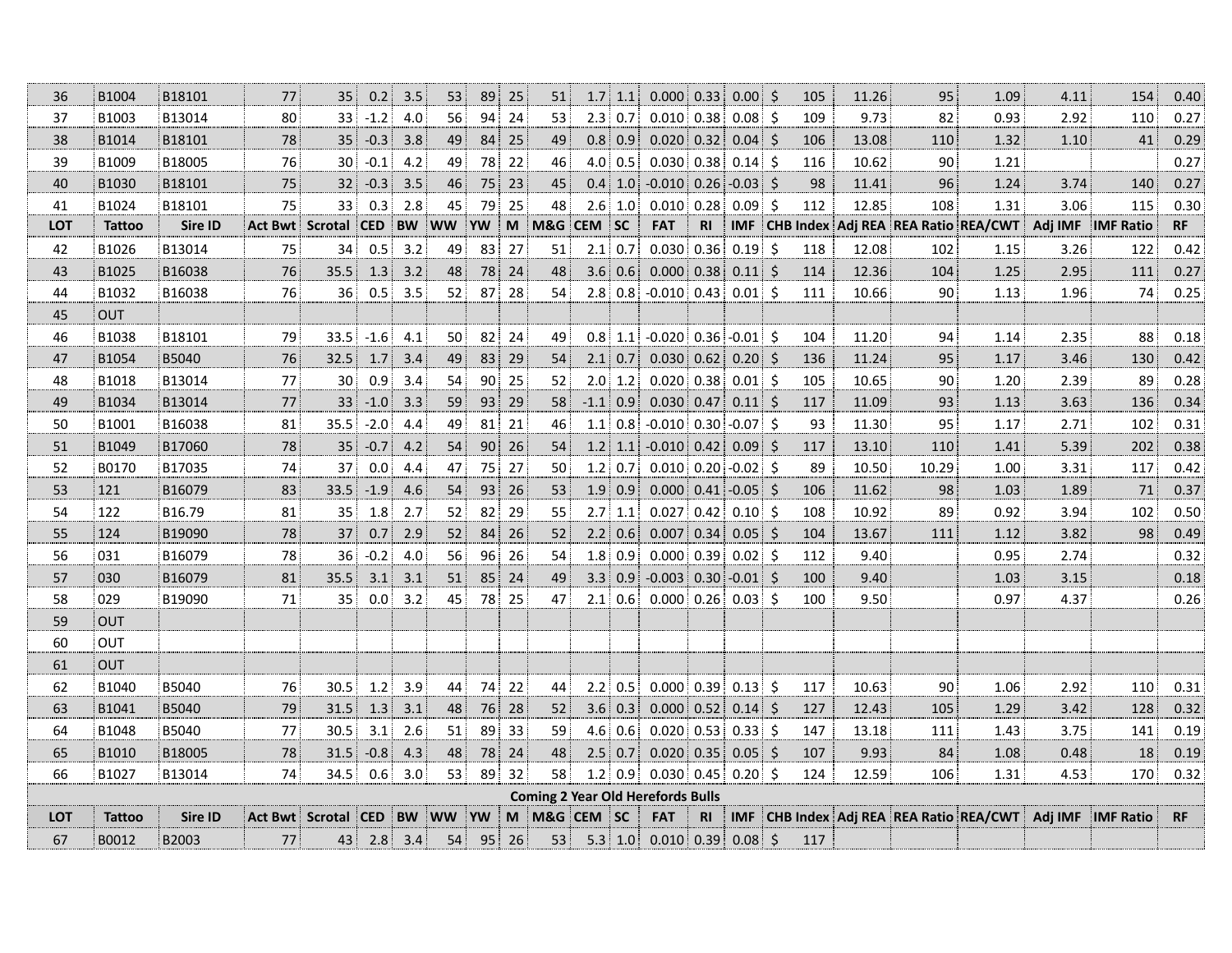| 36         | B1004         | B18101  | 77             | 35              | 0.2    | 3.5       | 53              | 89        | 25 | 51           | 1.7 <sup>1</sup> | 1.1              | 0.000                                    | 0.33           | $0.00$ \$     |         | 105              | 11.26 | 95                        | 1.09                                | 4.11    | 154                 | 0.40      |
|------------|---------------|---------|----------------|-----------------|--------|-----------|-----------------|-----------|----|--------------|------------------|------------------|------------------------------------------|----------------|---------------|---------|------------------|-------|---------------------------|-------------------------------------|---------|---------------------|-----------|
| 37         | B1003         | B13014  | 80             | 33              | $-1.2$ | 4.0       | 56              | 94        | 24 | 53           | 2.3              | 0.7              | $0.010$ 0.38                             |                | $0.08$ \$     |         | 109              | 9.73  | 82                        | 0.93                                | 2.92    | 110                 | 0.27      |
| 38         | B1014         | B18101  | 78             | 35              | $-0.3$ | 3.8       | 49              | 84        | 25 | 49           | 0.8 <sub>1</sub> | 0.9              | 0.020                                    | 0.32           | 0.04          | Ŝ.      | 106              | 13.08 | 110                       | 1.32                                | 1.10    | 41                  | 0.29      |
| 39         | B1009         | B18005  | 76             | 30              | $-0.1$ | 4.2       | 49              | 78        | 22 | 46           |                  | $4.0\pm0.5$      | $0.030 \mid 0.38$                        |                | 0.14          | -\$     | 116              | 10.62 | 90                        | 1.21                                |         |                     | 0.27      |
| 40         | B1030         | B18101  | 75             | 32 <sub>3</sub> | $-0.3$ | 3.5       | 46              | 75        | 23 | 45           |                  |                  | $0.4$ 1.0 -0.010 0.26                    |                | $-0.03$       | $\zeta$ | 98               | 11.41 | 96                        | 1.24                                | 3.74    | 140                 | 0.27      |
| 41         | B1024         | B18101  | 75             | 33              | 0.3    | 2.8       | 45              | 79        | 25 | 48           | 2.6              | 1.0 <sub>1</sub> | $0.010$ 0.28                             |                | 0.09          | Ŝ.      | 112              | 12.85 | 108                       | 1.31                                | 3.06    | 115                 | 0.30      |
| <b>LOT</b> | <b>Tattoo</b> | Sire ID | <b>Act Bwt</b> | Scrotal         | CED    | <b>BW</b> | ww              | <b>YW</b> | M  | M&G          | <b>CEM</b>       | <b>SC</b>        | <b>FAT</b>                               | R <sub>l</sub> | <b>IMF</b>    |         | <b>CHB Index</b> |       | Adj REA REA Ratio REA/CWT |                                     | Adj IMF | <b>IMF Ratio</b>    | RF        |
| 42         | B1026         | B13014  | 75             | 34              | 0.5    | 3.2       | 49              | 83        | 27 | 51           | 2.1              | 0.7              | 0.030                                    | 0.36           | 0.19          | $\zeta$ | 118              | 12.08 | 102                       | 1.15                                | 3.26    | 122                 | 0.42      |
| 43         | B1025         | B16038  | 76             | 35.5            | 1.3    | 3.2       | 48              | 78        | 24 | 48           | 3.6 <sup>1</sup> | 0.6              | 0.000                                    | 0.38           | 0.11          | -Ś      | 114              | 12.36 | 104                       | 1.25                                | 2.95    | 111                 | 0.27      |
| 44         | B1032         | B16038  | 76             | 36              | 0.5    | 3.5       | 52              | 87        | 28 | 54           | 2.8 <sup>1</sup> | 0.8              | $-0.010$ 0.43                            |                | 0.01          | -\$     | 111              | 10.66 | 90                        | 1.13                                | 1.96    | 74                  | 0.25      |
| 45         | <b>OUT</b>    |         |                |                 |        |           |                 |           |    |              |                  |                  |                                          |                |               |         |                  |       |                           |                                     |         |                     |           |
| 46         | B1038         | B18101  | 79             | 33.5            | $-1.6$ | 4.1       | 50 <sup>1</sup> | 82        | 24 | 49           |                  |                  | $0.8$ 1.1 -0.020 0.36 -0.01 \$           |                |               |         | 104              | 11.20 | 94                        | 1.14                                | 2.35    | 88 <sup>3</sup>     | 0.18      |
| 47         | B1054         | B5040   | 76             | 32.5            | 1.7    | 3.4       | 49              | 83        | 29 | 54           | 2.1              | 0.7              | 0.030   0.62                             |                | $0.20$ \$     |         | 136              | 11.24 | 95                        | 1.17                                | 3.46    | 130                 | 0.42      |
| 48         | B1018         | B13014  | 77             | 30              | 0.9    | 3.4       | 54              | 90        | 25 | 52           | 2.0              | 1.2              | $0.020 \,   \, 0.38$                     |                | $0.01$ \$     |         | 105              | 10.65 | 90                        | 1.20                                | 2.39    | 89                  | 0.28      |
| 49         | B1034         | B13014  | 77             | 33              | $-1.0$ | 3.3       | 59              | 93        | 29 | 58           | $-1.1$           | 0.9              | 0.030                                    | 0.47           | 0.11          | $\zeta$ | 117              | 11.09 | 93                        | 1.13                                | 3.63    | 136                 | 0.34      |
| 50         | B1001         | B16038  | 81             | 35.5            | $-2.0$ | 4.4       | 49              | 81        | 21 | 46           | 1.1              | 0.8 <sup>1</sup> | $-0.010$ 0.30                            |                | $-0.07$ \$    |         | 93               | 11.30 | 95                        | 1.17                                | 2.71    | 102                 | 0.31      |
| 51         | B1049         | B17060  | 78             | 35              | $-0.7$ | 4.2       | 54              | 90        | 26 | 54           | 1.2              | 1.1              | $-0.010$                                 | 0.42           | 0.09          | S.      | 117              | 13.10 | 110                       | 1.41                                | 5.39    | 202                 | 0.38      |
| 52         | B0170         | B17035  | 74             | 37              | 0.0    | 4.4       | 47              | 75        | 27 | 50           | $1.2$            | 0.7              | $0.010$ 0.20                             |                | $-0.02$ \$    |         | 89               | 10.50 | 10.29                     | 1.00                                | 3.31    | 117                 | 0.42      |
| 53         | 121           | B16079  | 83             | 33.5            | $-1.9$ | 4.6       | 54              | 93        | 26 | 53           | 1.9:             | 0.9              | 0.000   0.41                             |                | $-0.05$       | $\zeta$ | 106              | 11.62 | 98                        | 1.03                                | 1.89    | 71                  | 0.37      |
| 54         | 122           | B16.79  | 81             | 35              | 1.8    | 2.7       | 52              | 82        | 29 | 55           | 2.7              | 1.1              | $0.027$ 0.42                             |                | $0.10^{+}$ \$ |         | 108              | 10.92 | 89                        | 0.92                                | 3.94    | 102                 | 0.50      |
| 55         | 124           | B19090  | 78             | 37              | 0.7    | 2.9       | 52              | 84        | 26 | 52           | 2.2              | 0.6              | 0.007                                    | 0.34           | 0.05          | $\zeta$ | 104              | 13.67 | 111                       | 1.12                                | 3.82    | 98                  | 0.49      |
| 56         | 031           | B16079  | 78             | 36              | $-0.2$ | 4.0       | 56              | 96        | 26 | 54           | 1.8              | 0.9              | $0.000$ 0.39                             |                | $0.02$ \$     |         | 112              | 9.40  |                           | 0.95                                | 2.74    |                     | 0.32      |
| 57         | 030           | B16079  | 81             | 35.5            | 3.1    | 3.1       | 51              | 85        | 24 | 49           | 3.3 <sup>3</sup> | 0.9              | $-0.003$                                 | 0.30           | $-0.01$ \$    |         | 100              | 9.40  |                           | 1.03                                | 3.15    |                     | 0.18      |
| 58         | 029           | B19090  | 71             | 35              | 0.0    | 3.2       | 45              | 78        | 25 | 47           | 2.1              | 0.6              | 0.000   0.26                             |                | $0.03$ \$     |         | 100              | 9.50  |                           | 0.97                                | 4.37    |                     | 0.26      |
| 59         | <b>OUT</b>    |         |                |                 |        |           |                 |           |    |              |                  |                  |                                          |                |               |         |                  |       |                           |                                     |         |                     |           |
| 60         | <b>OUT</b>    |         |                |                 |        |           |                 |           |    |              |                  |                  |                                          |                |               |         |                  |       |                           |                                     |         |                     |           |
| 61         | <b>OUT</b>    |         |                |                 |        |           |                 |           |    |              |                  |                  |                                          |                |               |         |                  |       |                           |                                     |         |                     |           |
| 62         | B1040         | B5040   | 76             | 30.5            | 1.2    | 3.9       | 44              | 74        | 22 | 44           |                  | $2.2$ 0.5        | $0.000 \, \text{I} \, 0.39$              |                | $0.13$ \$     |         | 117              | 10.63 | 90                        | 1.06                                | 2.92    | 110                 | 0.31      |
| 63         | B1041         | B5040   | 79             | 31.5            | 1.3    | 3.1       | 48              | 76        | 28 | 52           |                  | 3.6 0.3          | $0.000$ 0.52                             |                | 0.14          | $\zeta$ | 127              | 12.43 | 105                       | 1.29                                | 3.42    | 128                 | 0.32      |
| 64         | B1048         | B5040   | 77             | 30.5            | 3.1    | 2.6       | 51              | 89        | 33 | 59           | 4.6              | 0.6              | $0.020 \mid 0.53$                        |                | $0.33$ \$     |         | 147              | 13.18 | 111                       | 1.43                                | 3.75    | 141                 | 0.19      |
| 65         | B1010         | B18005  | 78             | 31.5            | $-0.8$ | 4.3       | 48              | 78        | 24 | 48           | 2.5              | 0.7              | 0.020   0.35                             |                | $0.05$ \$     |         | 107              | 9.93  | 84                        | 1.08                                | 0.48    | 18                  | 0.19      |
| 66         | B1027         | B13014  | 74             | 34.5            | 0.6    | 3.0       | 53              | 89        | 32 | 58           | 1.2              | 0.9              | $0.030$ 0.45                             |                | $0.20$ \$     |         | 124              | 12.59 | 106                       | 1.31                                | 4.53    | 170                 | 0.32      |
|            |               |         |                |                 |        |           |                 |           |    |              |                  |                  | <b>Coming 2 Year Old Herefords Bulls</b> |                |               |         |                  |       |                           |                                     |         |                     |           |
| LOT        | <b>Tattoo</b> | Sire ID | Act Bwt        | Scrotal CED     |        | <b>BW</b> | <b>WW</b>       | <b>YW</b> |    | M M&G CEM SC |                  |                  | <b>FAT</b>                               | <b>RI</b>      | <b>IMF</b>    |         |                  |       |                           | CHB Index Adj REA REA Ratio REA/CWT |         | Adj IMF   IMF Ratio | <b>RF</b> |
| 67         | B0012         | B2003   | 77             | 43 !            | 2.8    | 3.4       | 54              | 95        | 26 | 53           |                  | $5.3$ 1.0        | $0.010$ 0.39                             |                | 0.08          | $\zeta$ | 117              |       |                           |                                     |         |                     |           |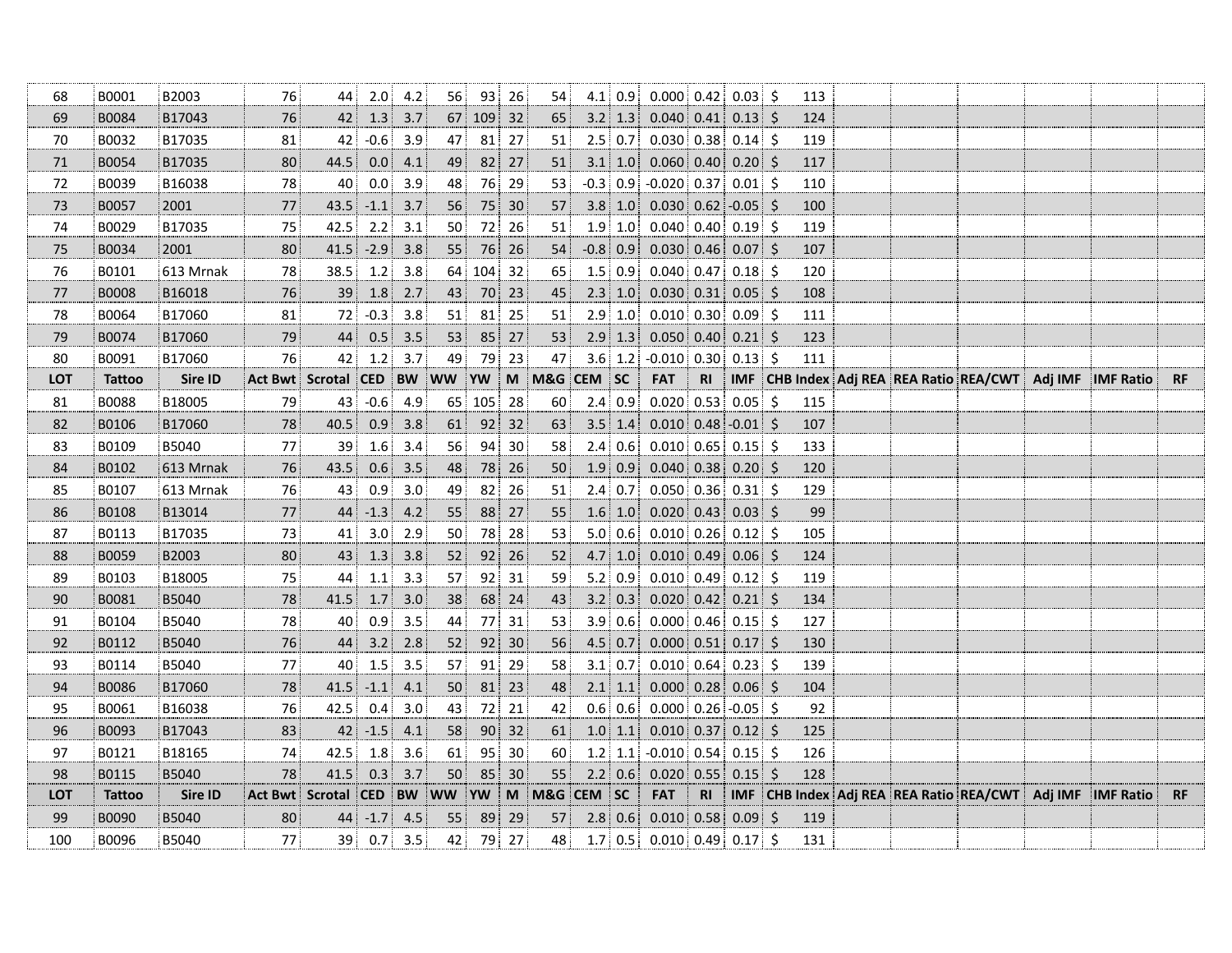| 68         | B0001         | B2003     | 76             | 44             | 2.0        | 4.2       | 56           | 93  | 26 | 54           |                  | $4.1 \, 0.9$      | $0.000$ 0.42 0.03 \$        |                |                   |         | 113 |  |                                         |         |                  |           |
|------------|---------------|-----------|----------------|----------------|------------|-----------|--------------|-----|----|--------------|------------------|-------------------|-----------------------------|----------------|-------------------|---------|-----|--|-----------------------------------------|---------|------------------|-----------|
| 69         | B0084         | B17043    | 76             | 42             | 1.3        | 3.7       | 67           | 109 | 32 | 65           |                  | $3.2$ 1.3         | $0.040 \,   \, 0.41$        |                | $0.13$ \$         |         | 124 |  |                                         |         |                  |           |
| 70         | B0032         | B17035    | 81             | 42             | $-0.6$     | 3.9       | 47           | 81  | 27 | 51           |                  | $2.5 \,   \, 0.7$ | 0.030   0.38                |                | $0.14$ \$         |         | 119 |  |                                         |         |                  |           |
| $71\,$     | B0054         | B17035    | 80             | 44.5           | 0.0        | 4.1       | 49           | 82  | 27 | 51           | 3.1              | 1.0               | 0.060   0.40                |                | $0.20$ \$         |         | 117 |  |                                         |         |                  |           |
| 72         | B0039         | B16038    | 78             | 40             | $0.0\,$    | 3.9       | 48           | 76  | 29 | 53           |                  | $-0.3$ 0.9        | $-0.020$ 0.37               |                | $0.01$ \$         |         | 110 |  |                                         |         |                  |           |
| 73         | B0057         | 2001      | 77             | 43.5           | $-1.1$     | 3.7       | 56           | 75  | 30 | 57           | 3.8 <sub>1</sub> | 1.0               | $0.030   0.62   -0.05  $ \$ |                |                   |         | 100 |  |                                         |         |                  |           |
| 74         | B0029         | B17035    | 75             | 42.5           | 2.2        | 3.1       | 50           | 72  | 26 | 51           |                  | 1.9 1.0           | $0.040 \mid 0.40 \mid$      |                | $0.19$ \$         |         | 119 |  |                                         |         |                  |           |
| 75         | B0034         | 2001      | 80             | 41.5           | $-2.9$     | 3.8       | 55           | 76  | 26 | 54           |                  | $-0.8$ 0.9        | $0.030$ 0.46                |                | $0.07$ \$         |         | 107 |  |                                         |         |                  |           |
| 76         | B0101         | 613 Mrnak | 78             | 38.5           | $1.2$      | 3.8       | 64           | 104 | 32 | 65           |                  | 1.5 0.9           | $0.040 \mid 0.47 \mid$      |                | $0.18$ \$         |         | 120 |  |                                         |         |                  |           |
| 77         | <b>B0008</b>  | B16018    | 76             | 39             | 1.8        | 2.7       | 43           | 70  | 23 | 45           | 2.3              | 1.0               | 0.030   0.31                |                | $0.05$ \$         |         | 108 |  |                                         |         |                  |           |
| 78         | B0064         | B17060    | 81             | 72             | $-0.3$     | 3.8       | 51           | 81  | 25 | 51           |                  | $2.9$ 1.0         | $0.010$ 0.30                |                | $0.09$ \$         |         | 111 |  |                                         |         |                  |           |
| 79         | B0074         | B17060    | 79             | 44             | 0.5        | 3.5       | 53           | 85  | 27 | 53           |                  | $2.9$ 1.3         | $0.050$ 0.40                |                | $0.21$ \$         |         | 123 |  |                                         |         |                  |           |
| 80         | B0091         | B17060    | 76             | 42             | 1.2        | 3.7       | 49           | 79  | 23 | 47           |                  | 3.6 1.2           | $-0.010$ 0.30               |                | $0.13$ \$         |         | 111 |  |                                         |         |                  |           |
| LOT        | <b>Tattoo</b> | Sire ID   | <b>Act Bwt</b> | Scrotal CED    |            |           | <b>BW</b> WW | YW  |    | M M&G CEM SC |                  |                   | <b>FAT</b>                  | R <sub>l</sub> |                   |         |     |  | IMF CHB Index Adj REA REA Ratio REA/CWT | Adj IMF | <b>IMF Ratio</b> | <b>RF</b> |
| 81         | <b>B0088</b>  | B18005    | 79             | 43             | $-0.6$     | 4.9       | 65           | 105 | 28 | 60           |                  | 2.4 0.9           | $0.020$ 0.53 0.05           |                |                   | $\zeta$ | 115 |  |                                         |         |                  |           |
| 82         | B0106         | B17060    | 78             | 40.5           | 0.9        | 3.8       | 61           | 92  | 32 | 63           |                  | $3.5$ 1.4         | $0.010$ 0.48 -0.01 \$       |                |                   |         | 107 |  |                                         |         |                  |           |
| 83         | B0109         | B5040     | 77             | 39             | 1.6        | 3.4       | 56           | 94  | 30 | 58           |                  | 2.4 0.6           | $0.010$ 0.65 0.15 \$        |                |                   |         | 133 |  |                                         |         |                  |           |
| 84         | B0102         | 613 Mrnak | 76             | 43.5           | 0.6        | 3.5       | 48           | 78  | 26 | 50           | 1.9              | 0.9               | $0.040$ 0.38                |                | $0.20\frac{1}{5}$ |         | 120 |  |                                         |         |                  |           |
| 85         | B0107         | 613 Mrnak | 76             | 43             | 0.9        | 3.0       | 49           | 82  | 26 | 51           | 2.4              | 0.7               | $0.050$ 0.36 0.31 \$        |                |                   |         | 129 |  |                                         |         |                  |           |
| 86         | B0108         | B13014    | $77\,$         | 44             | $-1.3$     | 4.2       | 55           | 88  | 27 | 55           |                  | 1.6 1.0           | $0.020$ 0.43                |                | $0.03$ \$         |         | 99  |  |                                         |         |                  |           |
| 87         | B0113         | B17035    | 73             | 41             | 3.0        | 2.9       | 50           | 78  | 28 | 53           |                  | 5.0   0.6         | $0.010$ 0.26                |                | $0.12$ \$         |         | 105 |  |                                         |         |                  |           |
| 88         | B0059         | B2003     | 80             | 43             | 1.3        | 3.8       | 52           | 92  | 26 | 52           |                  | $4.7 \,   \, 1.0$ | 0.010   0.49                |                | $0.06$ \$         |         | 124 |  |                                         |         |                  |           |
| 89         | B0103         | B18005    | 75             | 44             | 1.1        | 3.3       | 57           | 92  | 31 | 59           |                  | $5.2$ 0.9         | $0.010 \mid 0.49 \mid$      |                | $0.12$ \$         |         | 119 |  |                                         |         |                  |           |
| 90         | B0081         | B5040     | 78             | 41.5           | 1.7        | $3.0$     | 38           | 68  | 24 | 43           |                  | 3.2   0.3         | 0.020   0.42                |                | $0.21$ \$         |         | 134 |  |                                         |         |                  |           |
| 91         | B0104         | B5040     | 78             | 40             | 0.9        | 3.5       | 44           | 77  | 31 | 53           |                  | 3.9 0.6           | $0.000$ 0.46 0.15 \$        |                |                   |         | 127 |  |                                         |         |                  |           |
| 92         | B0112         | B5040     | 76             | 44             | 3.2        | 2.8       | 52           | 92  | 30 | 56           |                  | $4.5$ 0.7         | $0.000$ $0.51$              |                | $0.17$ \$         |         | 130 |  |                                         |         |                  |           |
| 93         | B0114         | B5040     | 77             | 40             | 1.5        | 3.5       | 57           | 91  | 29 | 58           |                  | 3.1   0.7         | 0.010   0.64                |                | $0.23$ \$         |         | 139 |  |                                         |         |                  |           |
| 94         | <b>B0086</b>  | B17060    | 78             | 41.5           | $-1.1$     | 4.1       | $50\,$       | 81  | 23 | 48           |                  | $2.1$ 1.1         | 0.000   0.28                |                | $0.06$ \$         |         | 104 |  |                                         |         |                  |           |
| 95         | B0061         | B16038    | 76             | 42.5           | 0.4        | 3.0       | 43           | 72  | 21 | 42           |                  | 0.6 0.6           | $0.000$ 0.26 -0.05 \$       |                |                   |         | 92  |  |                                         |         |                  |           |
| 96         | B0093         | B17043    | 83             | 42             | $-1.5$     | 4.1       | 58           | 90  | 32 | 61           | 1.0              | 1.1               | 0.010   0.37                |                | $0.12$ \$         |         | 125 |  |                                         |         |                  |           |
| 97         | B0121         | B18165    | 74             | 42.5           | 1.8        | 3.6       | 61           | 95  | 30 | 60           |                  | $1.2$ 1.1         | $-0.010$ 0.54               |                | $0.15$ \$         |         | 126 |  |                                         |         |                  |           |
| 98         | B0115         | B5040     | 78             | 41.5           | 0.3        | 3.7       | 50           | 85  | 30 | 55           | 2.2              | 0.6               | 0.020   0.55                |                | 0.15              | $\zeta$ | 128 |  |                                         |         |                  |           |
| <b>LOT</b> | <b>Tattoo</b> | Sire ID   | Act Bwt        | <b>Scrotal</b> | <b>CED</b> | <b>BW</b> | <b>WW</b>    | YW  |    | M M&G CEM    |                  | <b>SC</b>         | <b>FAT</b>                  | R1             |                   |         |     |  | IMF CHB Index Adj REA REA Ratio REA/CWT | Adj IMF | <b>IMF Ratio</b> | <b>RF</b> |
| 99         | B0090         | B5040     | 80             | 44             | $-1.7$     | 4.5       | 55           | 89  | 29 | 57           |                  | $2.8 \div 0.6$    | $0.010$ 0.58                |                | 0.09              | \$      | 119 |  |                                         |         |                  |           |
| 100        | <b>B0096</b>  |           | 77             | 39             | 0.7        | 3.5       |              | 79  | 27 | 48           |                  | $1.7$ 0.5         | 0.010   0.49                |                | $0.17$ \$         |         |     |  |                                         |         |                  |           |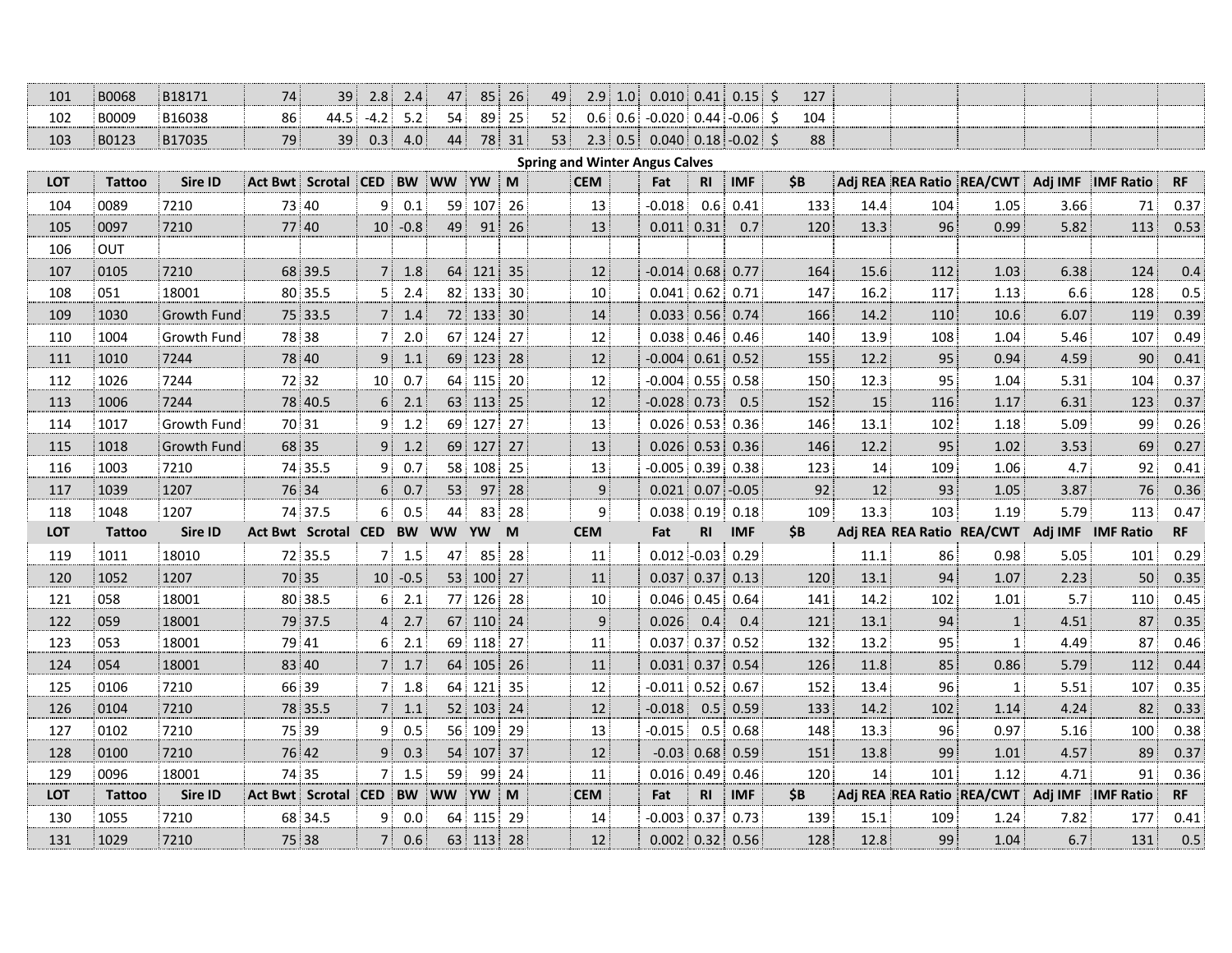| 101        | <b>B0068</b>  | B18171             | 74 | 39                         | 2.8            | 2.4       | 47              | 85 <sup>3</sup> | 26 | 49                                    | $2.9$ 1.0      | $0.010$ 0.41        |                | $0.15$ \$          | 127       |      |     |                           |         |                   |           |
|------------|---------------|--------------------|----|----------------------------|----------------|-----------|-----------------|-----------------|----|---------------------------------------|----------------|---------------------|----------------|--------------------|-----------|------|-----|---------------------------|---------|-------------------|-----------|
| 102        | B0009         | B16038             | 86 | 44.5                       | $-4.2$         | 5.2       | 54              | 89              | 25 | 52                                    | $0.6$ 0.6      | $-0.020$ 0.44       |                | $-0.06$ \$         | 104       |      |     |                           |         |                   |           |
| 103        | B0123         | B17035             | 79 | 39                         | 0.3            | 4.0       | 44              | 78              | 31 | 53                                    | 2.3<br>0.5     |                     |                | $0.040$ 0.18 -0.02 | S.<br>88  |      |     |                           |         |                   |           |
|            |               |                    |    |                            |                |           |                 |                 |    | <b>Spring and Winter Angus Calves</b> |                |                     |                |                    |           |      |     |                           |         |                   |           |
| <b>LOT</b> | <b>Tattoo</b> | Sire ID            |    | <b>Act Bwt Scrotal CED</b> |                | <b>BW</b> | <b>WW</b>       | <b>YW</b>       | M  | <b>CEM</b>                            |                | Fat                 | R <sub>l</sub> | <b>IMF</b>         | <b>SB</b> |      |     | Adj REA REA Ratio REA/CWT | Adj IMF | <b>IMF Ratio</b>  | RF        |
| 104        | 0089          | 7210               |    | 73 40                      | 9              | 0.1       | 59              | 107             | 26 |                                       | 13             | $-0.018$            | 0.6            | 0.41               | 133       | 14.4 | 104 | 1.05                      | 3.66    | 71                | 0.37      |
| 105        | 0097          | 7210               |    | 77 40                      | 10             | $-0.8$    | 49              | 91              | 26 |                                       | 13             | $0.011$ 0.31        |                | 0.7                | 120       | 13.3 | 96  | 0.99                      | 5.82    | 113               | 0.53      |
| 106        | OUT           |                    |    |                            |                |           |                 |                 |    |                                       |                |                     |                |                    |           |      |     |                           |         |                   |           |
| 107        | 0105          | 7210               |    | 68 39.5                    | 7              | 1.8       | 64              | 121             | 35 |                                       | 12             | $-0.014$ 0.68       |                | 0.77               | 164       | 15.6 | 112 | 1.03                      | 6.38    | 124               | 0.4       |
| 108        | 051           | 18001              |    | 80 35.5                    | 5              | 2.4       | 82              | 133             | 30 |                                       | 10             | $0.041$ 0.62        |                | 0.71               | 147       | 16.2 | 117 | 1.13                      | 6.6     | 128               | 0.5       |
| 109        | 1030          | Growth Fund        |    | 75 33.5                    | 7              | 1.4       |                 | 72 133          | 30 |                                       | 14             | $0.033$ $\mid$ 0.56 |                | 0.74               | 166       | 14.2 | 110 | 10.6                      | 6.07    | 119               | 0.39      |
| 110        | 1004          | Growth Fund        |    | 78 38                      | 7              | 2.0       |                 | 67 124          | 27 |                                       | 12             | $0.038$ 0.46        |                | 0.46               | 140       | 13.9 | 108 | 1.04                      | 5.46    | 107               | 0.49      |
| 111        | 1010          | 7244               |    | 78 40                      | 9              | 1.1       |                 | 69 123          | 28 |                                       | 12             | $-0.004$ 0.61       |                | 0.52               | 155       | 12.2 | 95  | 0.94                      | 4.59    | 90                | 0.41      |
| 112        | 1026          | 7244               |    | 72 32                      | 10             | 0.7       |                 | 64 115          | 20 |                                       | 12             | $-0.004$ 0.55       |                | 0.58               | 150       | 12.3 | 95  | 1.04                      | 5.31    | 104               | 0.37      |
| 113        | 1006          | 7244               |    | 78 40.5                    | 6              | 2.1       |                 | 63 113          | 25 |                                       | 12             | $-0.028$ 0.73       |                | 0.5                | 152       | 15   | 116 | 1.17                      | 6.31    | 123               | 0.37      |
| 114        | 1017          | Growth Fund        |    | 70 31                      | 9              | 1.2       |                 | 69 127          | 27 |                                       | 13             | $0.026$ 0.53        |                | 0.36               | 146       | 13.1 | 102 | 1.18                      | 5.09    | 99                | 0.26      |
| 115        | 1018          | <b>Growth Fund</b> |    | 68 35                      | 9              | 1.2       | 69:             | 127             | 27 |                                       | 13             | $0.026$ 0.53        |                | 0.36               | 146       | 12.2 | 95  | 1.02                      | 3.53    | 69                | 0.27      |
| 116        | 1003          | 7210               |    | 74 35.5                    | 9              | 0.7       | 58 <sup>1</sup> | 108             | 25 |                                       | 13             | $-0.005$ 0.39       |                | 0.38               | 123       | 14   | 109 | 1.06                      | 4.7     | 92                | 0.41      |
| 117        | 1039          | 1207               |    | 76 34                      | 6              | 0.7       | 53              | 97 <sup>1</sup> | 28 |                                       | 9 <sup>1</sup> | $0.021$ 0.07        |                | $-0.05$            | 92        | 12   | 93  | 1.05                      | 3.87    | 76                | 0.36      |
| 118        | 1048          | 1207               |    | 74 37.5                    | 6              | 0.5       | 44              | 83              | 28 |                                       | 9              | $0.038$ 0.19        |                | 0.18               | 109       | 13.3 | 103 | 1.19                      | 5.79    | 113               | 0.47      |
| <b>LOT</b> | <b>Tattoo</b> | Sire ID            |    | <b>Act Bwt Scrotal CED</b> |                | <b>BW</b> | <b>WW</b>       | <b>YW</b>       | M  | <b>CEM</b>                            |                | Fat                 | R <sub>l</sub> | <b>IMF</b>         | \$B       |      |     | Adj REA REA Ratio REA/CWT |         | Adj IMF IMF Ratio | <b>RF</b> |
| 119        | 1011          | 18010              |    | 72 35.5                    | 7              | 1.5       | 47              | 85              | 28 |                                       | 11             | $0.012 - 0.03$      |                | 0.29               |           | 11.1 | 86  | 0.98                      | 5.05    | 101               | 0.29      |
| 120        | 1052          | 1207               |    | 70 35                      | 10             | $-0.5$    |                 | $53 \, 100$     | 27 |                                       | 11             | $0.037$ 0.37        |                | 0.13               | 120       | 13.1 | 94  | 1.07                      | 2.23    | 50                | 0.35      |
| 121        | 058           | 18001              |    | 80 38.5                    | 6              | 2.1       |                 | 77 126          | 28 |                                       | 10             | $0.046$ 0.45        |                | 0.64               | 141       | 14.2 | 102 | 1.01                      | 5.7     | 110               | 0.45      |
| 122        | 059           | 18001              |    | 79 37.5                    | $\overline{4}$ | 2.7       | 67 <sup>1</sup> | 110             | 24 |                                       | 9 <sup>1</sup> | 0.026               | 0.4            | 0.4                | 121       | 13.1 | 94  | $\mathbf{1}$              | 4.51    | 87                | 0.35      |
| 123        | 053           | 18001              |    | 79 41                      | 6              | 2.1       |                 | 69 118          | 27 |                                       | 11             | $0.037$ 0.37        |                | 0.52               | 132       | 13.2 | 95  | $\mathbf{1}$              | 4.49    | 87                | 0.46      |
| 124        | 054           | 18001              |    | 83 40                      | 7              | 1.7       |                 | 64 105          | 26 |                                       | 11             | $0.031$ 0.37        |                | 0.54               | 126       | 11.8 | 85  | 0.86                      | 5.79    | 112               | 0.44      |
| 125        | 0106          | 7210               |    | 66 39                      | 7              | 1.8       |                 | 64 121          | 35 |                                       | 12             | $-0.011$ 0.52       |                | 0.67               | 152       | 13.4 | 96  | $\mathbf{1}$              | 5.51    | 107               | 0.35      |
| 126        | 0104          | 7210               |    | 78 35.5                    | $\overline{7}$ | 1.1       |                 | 52   103        | 24 |                                       | 12             | $-0.018$            | 0.5            | 0.59               | 133       | 14.2 | 102 | 1.14                      | 4.24    | 82                | 0.33      |
| 127        | 0102          | 7210               |    | 75 39                      | 9              | 0.5       |                 | 56 109          | 29 |                                       | 13             | $-0.015$            | 0.5            | 0.68               | 148       | 13.3 | 96  | 0.97                      | 5.16    | 100               | 0.38      |
| 128        | 0100          | 7210               |    | 76 42                      | 9              | 0.3       | 54 <sup>1</sup> | 107             | 37 |                                       | 12             | $-0.03$             | 0.68           | 0.59               | 151       | 13.8 | 99  | 1.01                      | 4.57    | 89                | 0.37      |
| 129        | 0096          | 18001              |    | 74 35                      | 7              | 1.5       | 59              | ! 99            | 24 |                                       | 11             | $0.016$ 0.49        |                | 0.46               | 120       | 14   | 101 | 1.12                      | 4.71    | 91                | 0.36      |
| <b>LOT</b> | <b>Tattoo</b> | Sire ID            |    | Act Bwt Scrotal CED        |                | <b>BW</b> | <b>WW</b>       | <b>YW</b>       | M  | <b>CEM</b>                            |                | Fat                 | R <sub>l</sub> | <b>IMF</b>         | \$B       |      |     | Adj REA REA Ratio REA/CWT | Adj IMF | <b>IMF Ratio</b>  | RF        |
| 130        | 1055          | 7210               |    | 68 34.5                    | 9              | 0.0       | 64              | 115             | 29 |                                       | 14             | $-0.003$            | 0.37           | 0.73               | 139       | 15.1 | 109 | 1.24                      | 7.82    | 177               | 0.41      |
| 131        | 1029          | 7210               |    | 75 38                      | 7              | 0.6       |                 | 63 113          | 28 |                                       | 12             | $0.002$ 0.32        |                | 0.56               | 128       | 12.8 | 99  | 1.04                      | 6.7     | 131               | 0.5       |